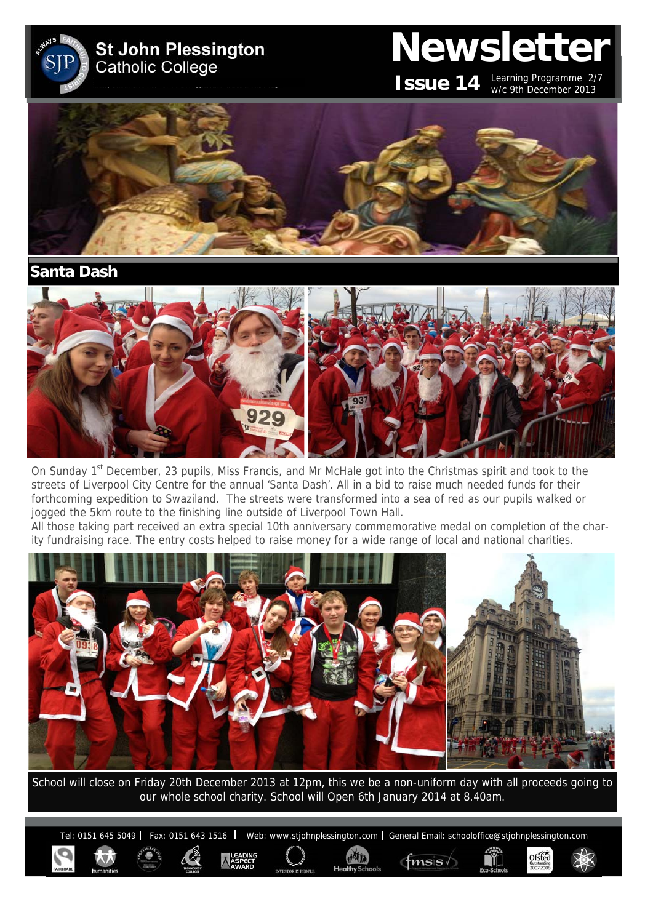**St John Plessington Catholic College** 

# **Newsletter**

**ISSUE 14** Learning Programme 2/7 w/c 9th December 2013

Ofsted



**Santa Dash** 



On Sunday 1<sup>st</sup> December, 23 pupils, Miss Francis, and Mr McHale got into the Christmas spirit and took to the streets of Liverpool City Centre for the annual 'Santa Dash'. All in a bid to raise much needed funds for their forthcoming expedition to Swaziland. The streets were transformed into a sea of red as our pupils walked or jogged the 5km route to the finishing line outside of Liverpool Town Hall.

All those taking part received an extra special 10th anniversary commemorative medal on completion of the charity fundraising race. The entry costs helped to raise money for a wide range of local and national charities.



School will close on Friday 20th December 2013 at 12pm, this we be a non-uniform day with all proceeds going to our whole school charity. School will Open 6th January 2014 at 8.40am.

Tel: 0151 645 5049 | Fax: 0151 643 1516 | Web: www.stjohnplessington.com | General Email: schooloffice@stjohnplessington.com

 $f$ msis $\sqrt$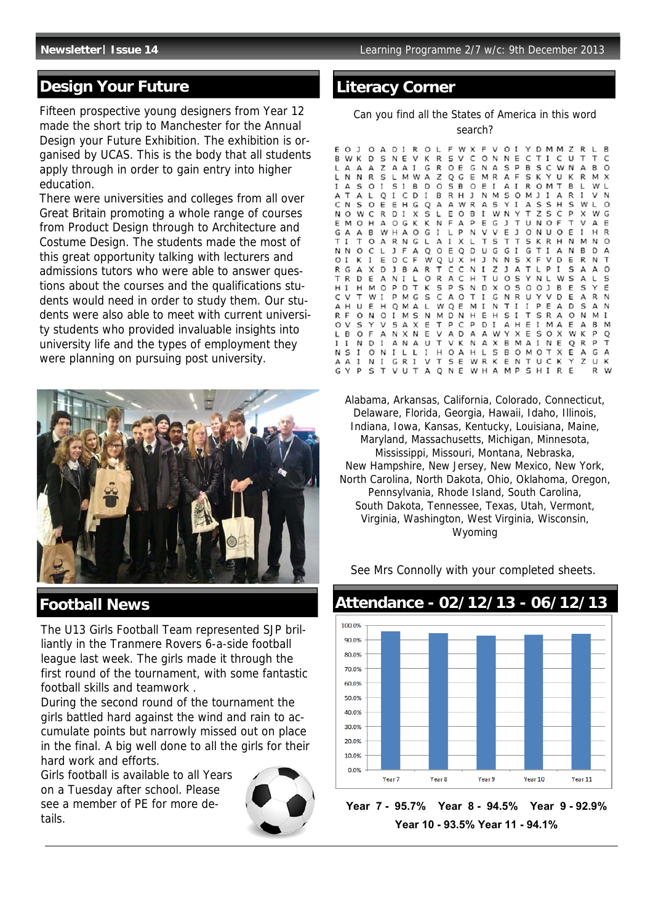### **Design Your Future**

Fifteen prospective young designers from Year 12 made the short trip to Manchester for the Annual Design your Future Exhibition. The exhibition is organised by UCAS. This is the body that all students apply through in order to gain entry into higher education.

There were universities and colleges from all over Great Britain promoting a whole range of courses from Product Design through to Architecture and Costume Design. The students made the most of this great opportunity talking with lecturers and admissions tutors who were able to answer questions about the courses and the qualifications students would need in order to study them. Our students were also able to meet with current university students who provided invaluable insights into university life and the types of employment they were planning on pursuing post university.



### **Football News**

The U13 Girls Football Team represented SJP brilliantly in the Tranmere Rovers 6-a-side football league last week. The girls made it through the first round of the tournament, with some fantastic football skills and teamwork .

During the second round of the tournament the girls battled hard against the wind and rain to accumulate points but narrowly missed out on place in the final. A big well done to all the girls for their hard work and efforts.

Girls football is available to all Years on a Tuesday after school. Please see a member of PE for more details.



### **Literacy Corner**

Can you find all the States of America in this word search?

W X<br>V C<br>E G  $\mathbf{r}$  $\Omega$ R O L  $F$  $O<sub>I</sub>$ D M M E  $\overline{1}$  $\Omega$ A D I  $\vee$ Y  $\overline{z}$  $\mathsf{R}$  $\mathbf{L}$ B W K O<sub>N</sub>  $\mathsf{C}$ B D S N E  $\vee$ Κ  $\mathsf{R}$ s N E  $\mathsf{C}$ T I U T T  $\mathsf{C}$ G R O E S<sub>P</sub>  $\overline{z}$ A A I N A B S C W N<br>S K Y U K  $\mathbf{R}$  $\Omega$ L  $\Delta$  $\mathsf{A}$  $\Delta$  $\Delta$ N  $\mathsf{F}$ L N R S L M W A z EMRA  $\mathsf R$ Q G м  $\times$ B<sub>D</sub>  $\Omega$  $F$  I O<sub>M</sub> Ţ А  $\mathsf{s}$  $O<sub>1</sub>$ S  $\mathbf{I}$ S B  $\circ$  $\Delta$  $\mathbf{I}$  $\mathsf{R}$  $\mathsf{T}$ B  $\mathsf{L}$ w  $\mathsf{L}$ A  $\mathsf{L}$  $\Delta$  $\mathsf{L}$ Q  $I\subset$ D  $\mathbf{I}$ B R H  $\mathbf{1}$ N M<sub>S</sub> O M  $1<sub>1</sub>$  $\Delta$  $\mathbb{R}$  $\mathbf{I}$ V N C  $\varsigma$  $\frac{A}{T}$ S S  $\mathsf{N}$ S O E E H G Q А А W R  $\mathsf{A}$ Y  $\mathbf I$  $H$  $\varsigma$ W  $\mathbf{L}$  $\Omega$  $\tilde{Y}$ p N  $\mathsf L$ E  $\overline{z}$  $\mathsf{C}$  $\Omega$ W  $\mathsf{C}$  $R$ D I  $\times$ S  $\circ$  $\overline{B}$  $\mathbf{I}$ W N S  $\times$ w G O G K K E p U N O T E M O H  $\mathsf{A}$ N  $\Delta$ E G  $\mathbf{J}$  $T$ F  $\vee$ А E  $\circ$ P N  $\vee$  $\vee$  $\circ$ G A A  $\overline{B}$ W H A G  $\bf I$ L E  $\mathbf{J}$ O N U E  $\mathbf I$ H  $\mathsf{R}$  $\mathsf{T}$  $\mathsf{T}$  $K$  R<br>T I  $\mathsf{T}$  $\mathbf{I}$  $\mathbf \tau$  $\circ$  $\Delta$ R N G L  $\Delta$  $\mathbf{I}$  $\mathsf{x}$ L  $\varsigma$  $T$ S  $H$ N M N  $\Omega$  $1 F$  $\frac{A}{F}$  $\circ$ G N<sub>N</sub>  $\Omega$  $\mathsf{C}$  $\mathsf{L}$ Q Ε Q D U G G  $\mathbf{I}$ Δ N **B**  $\Omega$ А  $\mathsf C$  $C \times C$ E  $\circ$  $\mathbf{I}$ к  $\mathbf{I}$ E D W Q  $H$ J N N S  $\times$  $\vee$ D E R N  $\mathsf{T}$ Ŧ N  $\mathsf{L}$   $\mathsf{P}$ R G  $\overline{A}$  $\times$ D J B А R  $\mathsf{\tau}$  $\;$  I z  $\mathbf{J}$  $\Delta$  $\mathbf{I}$ S А A  $\circ$  $\frac{L}{T}$ A<br>P  $\checkmark$  $\mathsf{T}$ R D E  $\mathsf{A}$ N I  $\circ$  $\mathsf{R}$ C  $H$  $\mathsf{T}$ U  $O<sub>S</sub>$ N L w S А L<br>Y S Н  $\mathbf{I}$  $H$ M  $\circ$ P D К S S N D  $\times$  $\Omega$ S  $\circ$  $OJ$  $\overline{B}$ E S E  $\mathsf C$ C  $\mathsf{V}$  $\mathbf{\tau}$ W  $\;$  I p M G S А  $\circ$ T I G N R U Y  $\vee$ D E  $\Delta$ R N А  $H$ U E  $H$ Q M A L W Q E M I N  $T$ 1 1 P E А D  $\mathsf{S}$  $\Delta$ N R  $\mathsf{F}$  $\circ$ N  $\circ$  $\mathbf I$ M S N M D N<br>T P C  $H$ E H S  $\mathbf I$  $\mathsf{T}$ SR А O N M  $\mathbf{I}$  $\frac{1}{p}$  $\checkmark$ O  $\mathbf{v}$ S V S А X Ε C D  $\mathbf I$ А  $H$ E I M А E А R м  $\begin{array}{c}\nA \\
V\n\end{array}$ L B  $\circ$  $\mathbf{r}$ А N X N E  $\vee$ D A А W  $\checkmark$ X E S  $\circ$  $\times$ W K D Q p  $\mathsf{T}$  $\bf I$  $\;$  I N D  $\mathbf{I}$ A N А U К N А  $X$  B M A I N E Q R  $\mathsf{T}$ N S  $\;$  I O N  $\mathbf{I}$ L L  $\;$  I H O A  $H$ L S B O M O T X E А G A К А I N 1 GR I V  $T$ S E W R Κ E N  $\mathsf{T}$ U C Κ Y Z U Α  $\overline{P}$ G Y S  $\mathsf{T}$ v u  $\top$ А Q N E W H A M P SHI  $\mathsf{R}$ E

Alabama, Arkansas, California, Colorado, Connecticut, Delaware, Florida, Georgia, Hawaii, Idaho, Illinois, Indiana, Iowa, Kansas, Kentucky, Louisiana, Maine, Maryland, Massachusetts, Michigan, Minnesota, Mississippi, Missouri, Montana, Nebraska, New Hampshire, New Jersey, New Mexico, New York, North Carolina, North Dakota, Ohio, Oklahoma, Oregon, Pennsylvania, Rhode Island, South Carolina, South Dakota, Tennessee, Texas, Utah, Vermont, Virginia, Washington, West Virginia, Wisconsin, Wyoming

See Mrs Connolly with your completed sheets.



**Year 7 - 95.7% Year 8 - 94.5% Year 9 - 92.9% Year 10 - 93.5% Year 11 - 94.1%**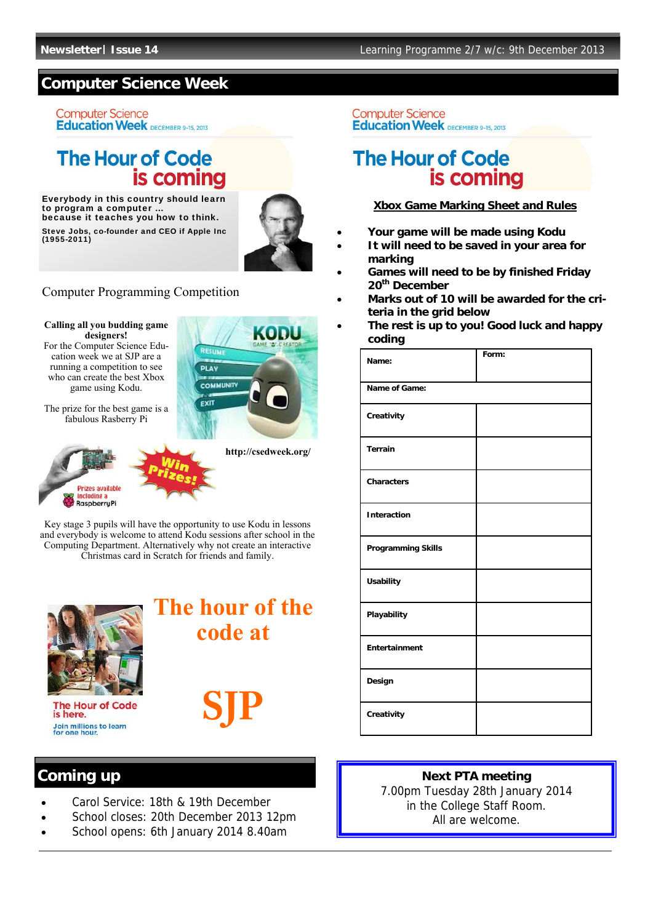### **Computer Science Week**

**Computer Science Education Week** DECEMBER 9-15, 2013

### **The Hour of Code** is coming

Everybody in this country should learn to program a computer because it teaches you how to think. Steve Jobs, co-founder and CEO if Apple Inc (1955-2011)



### Computer Programming Competition





The prize for the best game is a fabulous Rasberry Pi



**http://csedweek.org/** 

Key stage 3 pupils will have the opportunity to use Kodu in lessons and everybody is welcome to attend Kodu sessions after school in the Computing Department. Alternatively why not create an interactive Christmas card in Scratch for friends and family.



**The Hour of Code** is here. Join millions to learn<br>for one hour.

**The hour of the code at** 



#### **Computer Science Education Week** DECEMBER 9-15, 2013

### **The Hour of Code** is coming

#### **Xbox Game Marking Sheet and Rules**

- **Your game will be made using Kodu**
- **It will need to be saved in your area for marking**
- **Games will need to be by finished Friday 20th December**
- **Marks out of 10 will be awarded for the criteria in the grid below**
- **The rest is up to you! Good luck and happy coding**

| Name:                     | Form: |
|---------------------------|-------|
| Name of Game:             |       |
| Creativity                |       |
| <b>Terrain</b>            |       |
| <b>Characters</b>         |       |
| <b>Interaction</b>        |       |
| <b>Programming Skills</b> |       |
| <b>Usability</b>          |       |
| Playability               |       |
| Entertainment             |       |
| Design                    |       |
| Creativity                |       |

- Carol Service: 18th & 19th December
- School closes: 20th December 2013 12pm
- School opens: 6th January 2014 8.40am

## **Coming up Next PTA meeting**

7.00pm Tuesday 28th January 2014 in the College Staff Room. All are welcome.